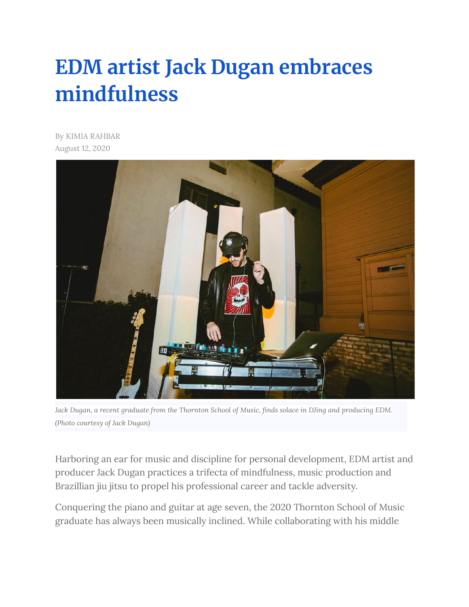## **EDM artist Jack Dugan [embraces](https://dailytrojan.com/2020/08/12/edm-artist-jack-dugan-embraces-mindfulness/) [mindfulness](https://dailytrojan.com/2020/08/12/edm-artist-jack-dugan-embraces-mindfulness/)**

By KIMIA RAHBAR August 12, 2020



Jack Dugan, a recent graduate from the Thornton School of Music, finds solace in DJing and producing EDM. *(Photo courtesy of Jack Dugan)*

Harboring an ear for music and discipline for personal development, EDM artist and producer Jack Dugan practices a trifecta of mindfulness, music production and Brazillian jiu jitsu to propel his professional career and tackle adversity.

Conquering the piano and guitar at age seven, the 2020 Thornton School of Music graduate has always been musically inclined. While collaborating with his middle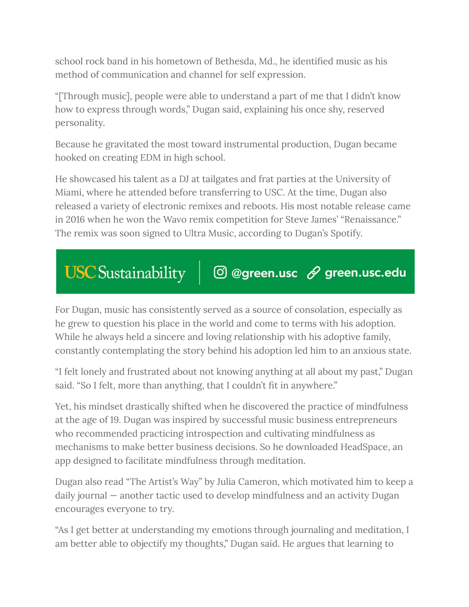school rock band in his hometown of Bethesda, Md., he identified music as his method of communication and channel for self expression.

"[Through music], people were able to understand a part of me that I didn't know how to express through words," Dugan said, explaining his once shy, reserved personality.

Because he gravitated the most toward instrumental production, Dugan became hooked on creating EDM in high school.

He showcased his talent as a DJ at tailgates and frat parties at the University of Miami, where he attended before transferring to USC. At the time, Dugan also released a variety of electronic remixes and reboots. His most notable release came in 2016 when he won the Wavo remix competition for Steve James' "Renaissance." The remix was soon signed to Ultra Music, according to Dugan's Spotify.

## **USC** Sustainability  $\textcircled{1}$  @green.usc  $\mathscr{D}$  green.usc.edu

For Dugan, music has consistently served as a source of consolation, especially as he grew to question his place in the world and come to terms with his adoption. While he always held a sincere and loving relationship with his adoptive family, constantly contemplating the story behind his adoption led him to an anxious state.

"I felt lonely and frustrated about not knowing anything at all about my past," Dugan said. "So I felt, more than anything, that I couldn't fit in anywhere."

Yet, his mindset drastically shifted when he discovered the practice of mindfulness at the age of 19. Dugan was inspired by successful music business entrepreneurs who recommended practicing introspection and cultivating mindfulness as mechanisms to make better business decisions. So he downloaded HeadSpace, an app designed to facilitate mindfulness through meditation.

Dugan also read "The Artist's Way" by Julia Cameron, which motivated him to keep a daily journal — another tactic used to develop mindfulness and an activity Dugan encourages everyone to try.

"As I get better at understanding my emotions through journaling and meditation, I am better able to objectify my thoughts," Dugan said. He argues that learning to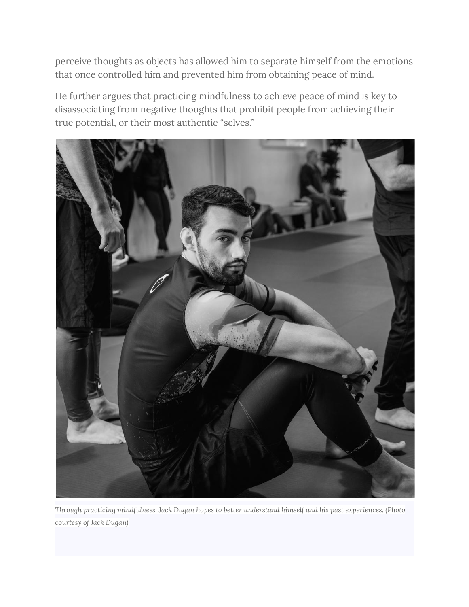perceive thoughts as objects has allowed him to separate himself from the emotions that once controlled him and prevented him from obtaining peace of mind.

He further argues that practicing mindfulness to achieve peace of mind is key to disassociating from negative thoughts that prohibit people from achieving their true potential, or their most authentic "selves."



*Through practicing mindfulness, Jack Dugan hopes to better understand himself and his past experiences. (Photo courtesy of Jack Dugan)*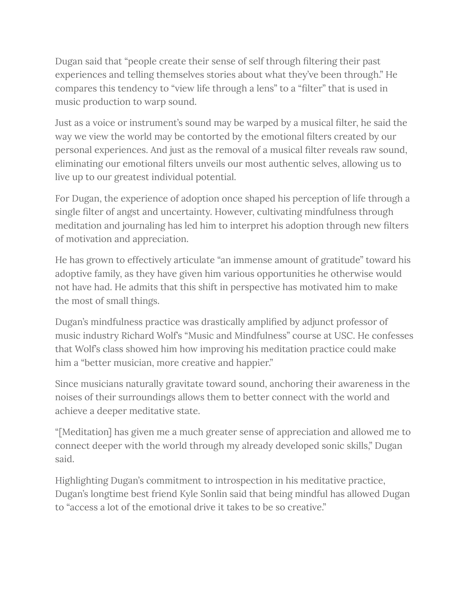Dugan said that "people create their sense of self through filtering their past experiences and telling themselves stories about what they've been through." He compares this tendency to "view life through a lens" to a "filter" that is used in music production to warp sound.

Just as a voice or instrument's sound may be warped by a musical filter, he said the way we view the world may be contorted by the emotional filters created by our personal experiences. And just as the removal of a musical filter reveals raw sound, eliminating our emotional filters unveils our most authentic selves, allowing us to live up to our greatest individual potential.

For Dugan, the experience of adoption once shaped his perception of life through a single filter of angst and uncertainty. However, cultivating mindfulness through meditation and journaling has led him to interpret his adoption through new filters of motivation and appreciation.

He has grown to effectively articulate "an immense amount of gratitude" toward his adoptive family, as they have given him various opportunities he otherwise would not have had. He admits that this shift in perspective has motivated him to make the most of small things.

Dugan's mindfulness practice was drastically amplified by adjunct professor of music industry Richard Wolf's "Music and Mindfulness" course at USC. He confesses that Wolf's class showed him how improving his meditation practice could make him a "better musician, more creative and happier."

Since musicians naturally gravitate toward sound, anchoring their awareness in the noises of their surroundings allows them to better connect with the world and achieve a deeper meditative state.

"[Meditation] has given me a much greater sense of appreciation and allowed me to connect deeper with the world through my already developed sonic skills," Dugan said.

Highlighting Dugan's commitment to introspection in his meditative practice, Dugan's longtime best friend Kyle Sonlin said that being mindful has allowed Dugan to "access a lot of the emotional drive it takes to be so creative."